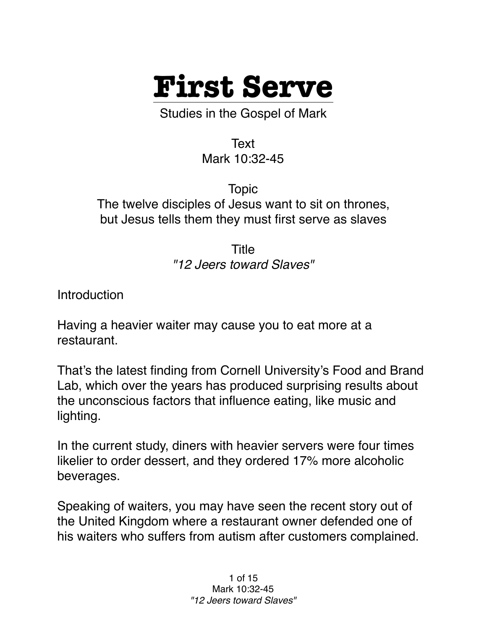

Studies in the Gospel of Mark

Text Mark 10:32-45

Topic The twelve disciples of Jesus want to sit on thrones, but Jesus tells them they must first serve as slaves

> Title *"12 Jeers toward Slaves"*

**Introduction** 

Having a heavier waiter may cause you to eat more at a restaurant.

That's the latest finding from Cornell University's Food and Brand Lab, which over the years has produced surprising results about the unconscious factors that influence eating, like music and lighting.

In the current study, diners with heavier servers were four times likelier to order dessert, and they ordered 17% more alcoholic beverages.

Speaking of waiters, you may have seen the recent story out of the United Kingdom where a restaurant owner defended one of his waiters who suffers from autism after customers complained.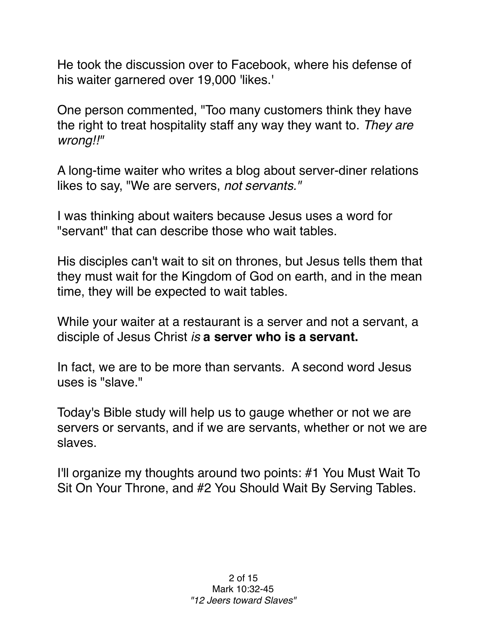He took the discussion over to Facebook, where his defense of his waiter garnered over 19,000 'likes.'

One person commented, "Too many customers think they have the right to treat hospitality staff any way they want to. *They are wrong!!"* 

A long-time waiter who writes a blog about server-diner relations likes to say, "We are servers, *not servants."*

I was thinking about waiters because Jesus uses a word for "servant" that can describe those who wait tables.

His disciples can't wait to sit on thrones, but Jesus tells them that they must wait for the Kingdom of God on earth, and in the mean time, they will be expected to wait tables.

While your waiter at a restaurant is a server and not a servant, a disciple of Jesus Christ *is* **a server who is a servant.**

In fact, we are to be more than servants. A second word Jesus uses is "slave."

Today's Bible study will help us to gauge whether or not we are servers or servants, and if we are servants, whether or not we are slaves.

I'll organize my thoughts around two points: #1 You Must Wait To Sit On Your Throne, and #2 You Should Wait By Serving Tables.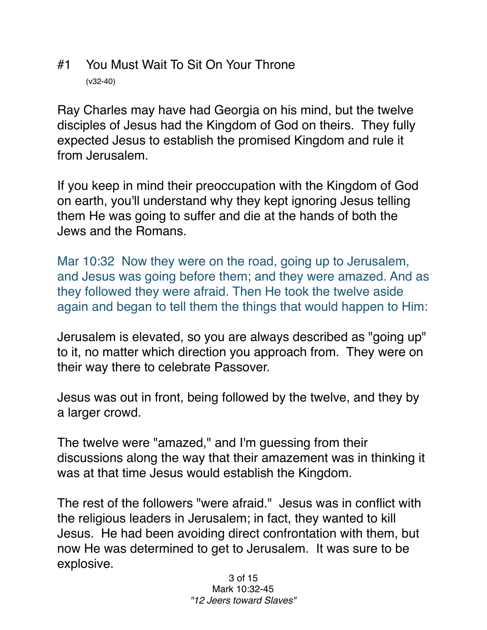## #1 You Must Wait To Sit On Your Throne (v32-40)

Ray Charles may have had Georgia on his mind, but the twelve disciples of Jesus had the Kingdom of God on theirs. They fully expected Jesus to establish the promised Kingdom and rule it from Jerusalem.

If you keep in mind their preoccupation with the Kingdom of God on earth, you'll understand why they kept ignoring Jesus telling them He was going to suffer and die at the hands of both the Jews and the Romans.

Mar 10:32 Now they were on the road, going up to Jerusalem, and Jesus was going before them; and they were amazed. And as they followed they were afraid. Then He took the twelve aside again and began to tell them the things that would happen to Him:

Jerusalem is elevated, so you are always described as "going up" to it, no matter which direction you approach from. They were on their way there to celebrate Passover.

Jesus was out in front, being followed by the twelve, and they by a larger crowd.

The twelve were "amazed," and I'm guessing from their discussions along the way that their amazement was in thinking it was at that time Jesus would establish the Kingdom.

The rest of the followers "were afraid." Jesus was in conflict with the religious leaders in Jerusalem; in fact, they wanted to kill Jesus. He had been avoiding direct confrontation with them, but now He was determined to get to Jerusalem. It was sure to be explosive.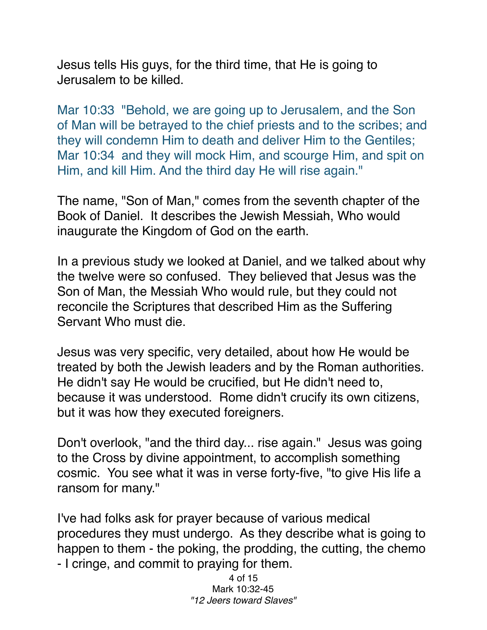Jesus tells His guys, for the third time, that He is going to Jerusalem to be killed.

Mar 10:33 "Behold, we are going up to Jerusalem, and the Son of Man will be betrayed to the chief priests and to the scribes; and they will condemn Him to death and deliver Him to the Gentiles; Mar 10:34 and they will mock Him, and scourge Him, and spit on Him, and kill Him. And the third day He will rise again."

The name, "Son of Man," comes from the seventh chapter of the Book of Daniel. It describes the Jewish Messiah, Who would inaugurate the Kingdom of God on the earth.

In a previous study we looked at Daniel, and we talked about why the twelve were so confused. They believed that Jesus was the Son of Man, the Messiah Who would rule, but they could not reconcile the Scriptures that described Him as the Suffering Servant Who must die.

Jesus was very specific, very detailed, about how He would be treated by both the Jewish leaders and by the Roman authorities. He didn't say He would be crucified, but He didn't need to, because it was understood. Rome didn't crucify its own citizens, but it was how they executed foreigners.

Don't overlook, "and the third day... rise again." Jesus was going to the Cross by divine appointment, to accomplish something cosmic. You see what it was in verse forty-five, "to give His life a ransom for many."

I've had folks ask for prayer because of various medical procedures they must undergo. As they describe what is going to happen to them - the poking, the prodding, the cutting, the chemo - I cringe, and commit to praying for them.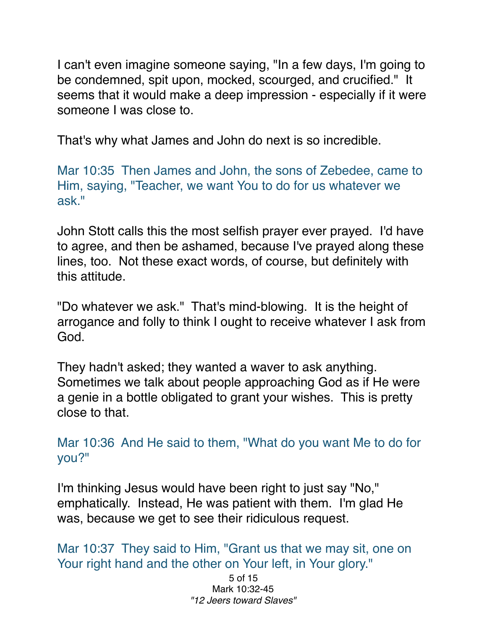I can't even imagine someone saying, "In a few days, I'm going to be condemned, spit upon, mocked, scourged, and crucified." It seems that it would make a deep impression - especially if it were someone I was close to.

That's why what James and John do next is so incredible.

Mar 10:35 Then James and John, the sons of Zebedee, came to Him, saying, "Teacher, we want You to do for us whatever we ask."

John Stott calls this the most selfish prayer ever prayed. I'd have to agree, and then be ashamed, because I've prayed along these lines, too. Not these exact words, of course, but definitely with this attitude.

"Do whatever we ask." That's mind-blowing. It is the height of arrogance and folly to think I ought to receive whatever I ask from God.

They hadn't asked; they wanted a waver to ask anything. Sometimes we talk about people approaching God as if He were a genie in a bottle obligated to grant your wishes. This is pretty close to that.

Mar 10:36 And He said to them, "What do you want Me to do for you?"

I'm thinking Jesus would have been right to just say "No," emphatically. Instead, He was patient with them. I'm glad He was, because we get to see their ridiculous request.

Mar 10:37 They said to Him, "Grant us that we may sit, one on Your right hand and the other on Your left, in Your glory."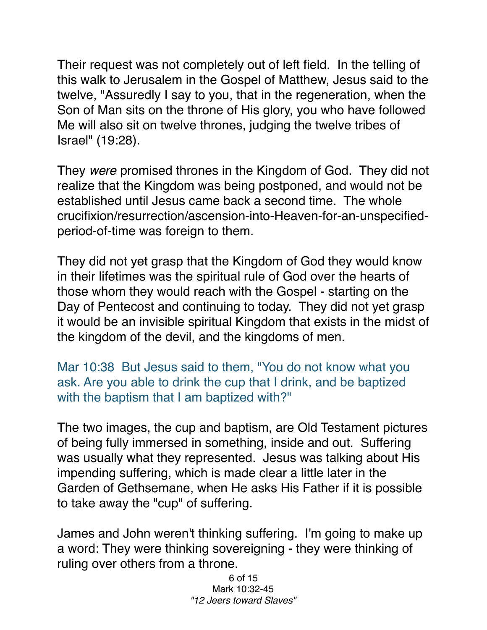Their request was not completely out of left field. In the telling of this walk to Jerusalem in the Gospel of Matthew, Jesus said to the twelve, "Assuredly I say to you, that in the regeneration, when the Son of Man sits on the throne of His glory, you who have followed Me will also sit on twelve thrones, judging the twelve tribes of Israel" (19:28).

They *were* promised thrones in the Kingdom of God. They did not realize that the Kingdom was being postponed, and would not be established until Jesus came back a second time. The whole crucifixion/resurrection/ascension-into-Heaven-for-an-unspecifiedperiod-of-time was foreign to them.

They did not yet grasp that the Kingdom of God they would know in their lifetimes was the spiritual rule of God over the hearts of those whom they would reach with the Gospel - starting on the Day of Pentecost and continuing to today. They did not yet grasp it would be an invisible spiritual Kingdom that exists in the midst of the kingdom of the devil, and the kingdoms of men.

Mar 10:38 But Jesus said to them, "You do not know what you ask. Are you able to drink the cup that I drink, and be baptized with the baptism that I am baptized with?"

The two images, the cup and baptism, are Old Testament pictures of being fully immersed in something, inside and out. Suffering was usually what they represented. Jesus was talking about His impending suffering, which is made clear a little later in the Garden of Gethsemane, when He asks His Father if it is possible to take away the "cup" of suffering.

James and John weren't thinking suffering. I'm going to make up a word: They were thinking sovereigning - they were thinking of ruling over others from a throne.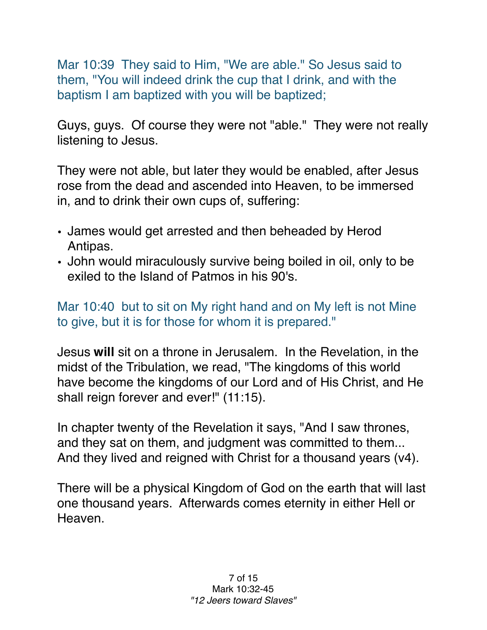Mar 10:39 They said to Him, "We are able." So Jesus said to them, "You will indeed drink the cup that I drink, and with the baptism I am baptized with you will be baptized;

Guys, guys. Of course they were not "able." They were not really listening to Jesus.

They were not able, but later they would be enabled, after Jesus rose from the dead and ascended into Heaven, to be immersed in, and to drink their own cups of, suffering:

- James would get arrested and then beheaded by Herod Antipas.
- John would miraculously survive being boiled in oil, only to be exiled to the Island of Patmos in his 90's.

## Mar 10:40 but to sit on My right hand and on My left is not Mine to give, but it is for those for whom it is prepared."

Jesus **will** sit on a throne in Jerusalem. In the Revelation, in the midst of the Tribulation, we read, "The kingdoms of this world have become the kingdoms of our Lord and of His Christ, and He shall reign forever and ever!" (11:15).

In chapter twenty of the Revelation it says, "And I saw thrones, and they sat on them, and judgment was committed to them... And they lived and reigned with Christ for a thousand years (v4).

There will be a physical Kingdom of God on the earth that will last one thousand years. Afterwards comes eternity in either Hell or Heaven.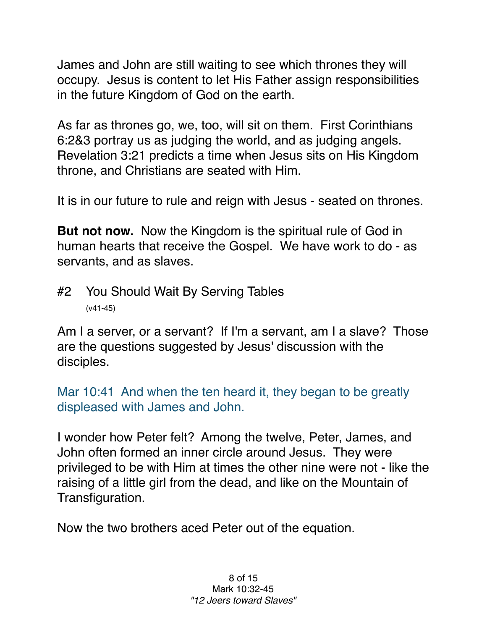James and John are still waiting to see which thrones they will occupy. Jesus is content to let His Father assign responsibilities in the future Kingdom of God on the earth.

As far as thrones go, we, too, will sit on them. First Corinthians 6:2&3 portray us as judging the world, and as judging angels. Revelation 3:21 predicts a time when Jesus sits on His Kingdom throne, and Christians are seated with Him.

It is in our future to rule and reign with Jesus - seated on thrones.

**But not now.** Now the Kingdom is the spiritual rule of God in human hearts that receive the Gospel. We have work to do - as servants, and as slaves.

#2 You Should Wait By Serving Tables (v41-45)

Am I a server, or a servant? If I'm a servant, am I a slave? Those are the questions suggested by Jesus' discussion with the disciples.

Mar 10:41 And when the ten heard it, they began to be greatly displeased with James and John.

I wonder how Peter felt? Among the twelve, Peter, James, and John often formed an inner circle around Jesus. They were privileged to be with Him at times the other nine were not - like the raising of a little girl from the dead, and like on the Mountain of Transfiguration.

Now the two brothers aced Peter out of the equation.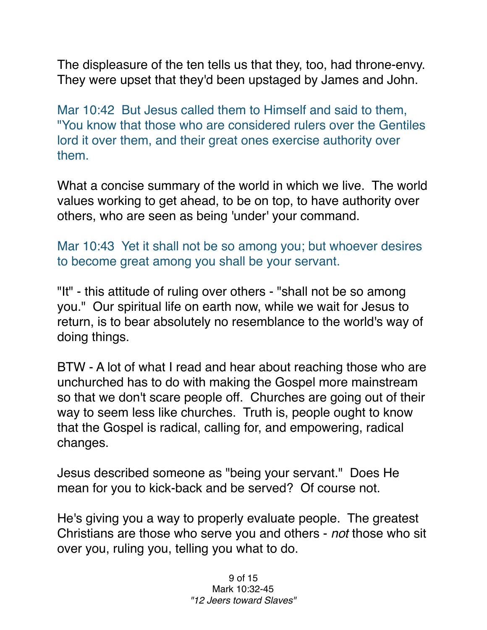The displeasure of the ten tells us that they, too, had throne-envy. They were upset that they'd been upstaged by James and John.

Mar 10:42 But Jesus called them to Himself and said to them, "You know that those who are considered rulers over the Gentiles lord it over them, and their great ones exercise authority over them.

What a concise summary of the world in which we live. The world values working to get ahead, to be on top, to have authority over others, who are seen as being 'under' your command.

Mar 10:43 Yet it shall not be so among you; but whoever desires to become great among you shall be your servant.

"It" - this attitude of ruling over others - "shall not be so among you." Our spiritual life on earth now, while we wait for Jesus to return, is to bear absolutely no resemblance to the world's way of doing things.

BTW - A lot of what I read and hear about reaching those who are unchurched has to do with making the Gospel more mainstream so that we don't scare people off. Churches are going out of their way to seem less like churches. Truth is, people ought to know that the Gospel is radical, calling for, and empowering, radical changes.

Jesus described someone as "being your servant." Does He mean for you to kick-back and be served? Of course not.

He's giving you a way to properly evaluate people. The greatest Christians are those who serve you and others - *not* those who sit over you, ruling you, telling you what to do.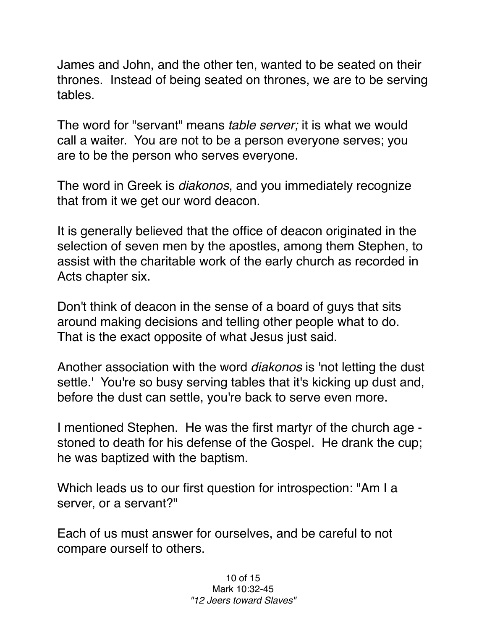James and John, and the other ten, wanted to be seated on their thrones. Instead of being seated on thrones, we are to be serving tables.

The word for "servant" means *table server;* it is what we would call a waiter. You are not to be a person everyone serves; you are to be the person who serves everyone.

The word in Greek is *diakonos*, and you immediately recognize that from it we get our word deacon.

It is generally believed that the office of deacon originated in the selection of seven men by the apostles, among them Stephen, to assist with the charitable work of the early church as recorded in Acts chapter six.

Don't think of deacon in the sense of a board of guys that sits around making decisions and telling other people what to do. That is the exact opposite of what Jesus just said.

Another association with the word *diakonos* is 'not letting the dust settle.' You're so busy serving tables that it's kicking up dust and, before the dust can settle, you're back to serve even more.

I mentioned Stephen. He was the first martyr of the church age stoned to death for his defense of the Gospel. He drank the cup; he was baptized with the baptism.

Which leads us to our first question for introspection: "Am I a server, or a servant?"

Each of us must answer for ourselves, and be careful to not compare ourself to others.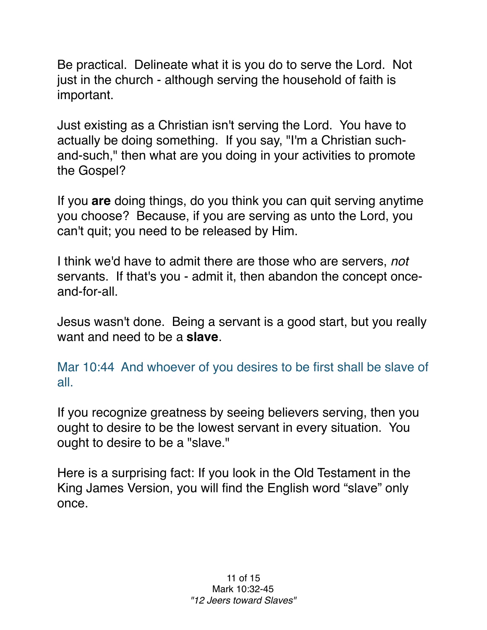Be practical. Delineate what it is you do to serve the Lord. Not just in the church - although serving the household of faith is important.

Just existing as a Christian isn't serving the Lord. You have to actually be doing something. If you say, "I'm a Christian suchand-such," then what are you doing in your activities to promote the Gospel?

If you **are** doing things, do you think you can quit serving anytime you choose? Because, if you are serving as unto the Lord, you can't quit; you need to be released by Him.

I think we'd have to admit there are those who are servers, *not* servants. If that's you - admit it, then abandon the concept onceand-for-all.

Jesus wasn't done. Being a servant is a good start, but you really want and need to be a **slave**.

Mar 10:44 And whoever of you desires to be first shall be slave of all.

If you recognize greatness by seeing believers serving, then you ought to desire to be the lowest servant in every situation. You ought to desire to be a "slave."

Here is a surprising fact: If you look in the Old Testament in the King James Version, you will find the English word "slave" only once.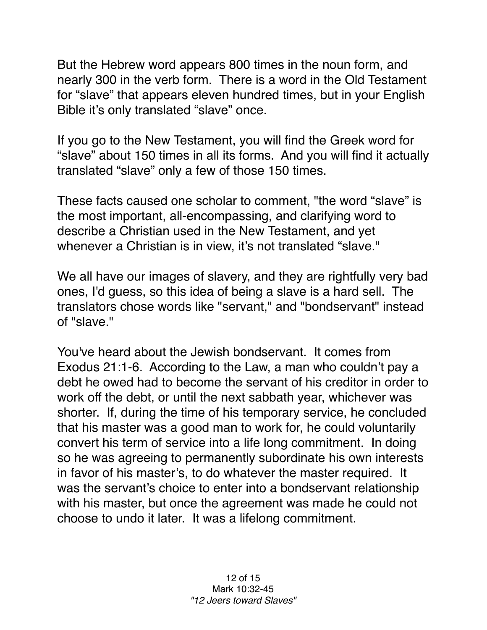But the Hebrew word appears 800 times in the noun form, and nearly 300 in the verb form. There is a word in the Old Testament for "slave" that appears eleven hundred times, but in your English Bible it's only translated "slave" once.

If you go to the New Testament, you will find the Greek word for "slave" about 150 times in all its forms. And you will find it actually translated "slave" only a few of those 150 times.

These facts caused one scholar to comment, "the word "slave" is the most important, all-encompassing, and clarifying word to describe a Christian used in the New Testament, and yet whenever a Christian is in view, it's not translated "slave."

We all have our images of slavery, and they are rightfully very bad ones, I'd guess, so this idea of being a slave is a hard sell. The translators chose words like "servant," and "bondservant" instead of "slave."

You've heard about the Jewish bondservant. It comes from Exodus 21:1-6. According to the Law, a man who couldn't pay a debt he owed had to become the servant of his creditor in order to work off the debt, or until the next sabbath year, whichever was shorter. If, during the time of his temporary service, he concluded that his master was a good man to work for, he could voluntarily convert his term of service into a life long commitment. In doing so he was agreeing to permanently subordinate his own interests in favor of his master's, to do whatever the master required. It was the servant's choice to enter into a bondservant relationship with his master, but once the agreement was made he could not choose to undo it later. It was a lifelong commitment.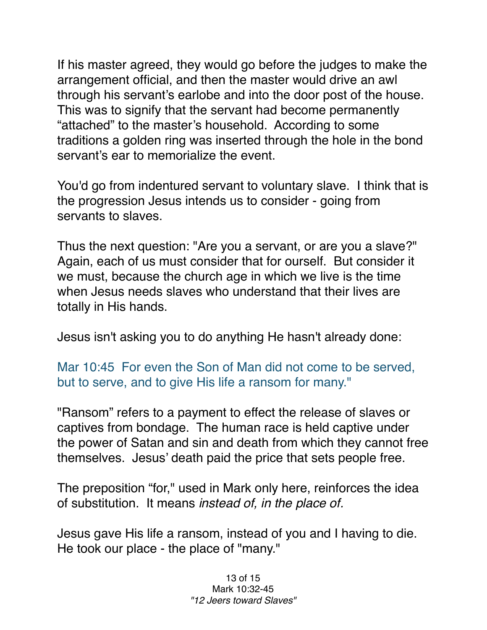If his master agreed, they would go before the judges to make the arrangement official, and then the master would drive an awl through his servant's earlobe and into the door post of the house. This was to signify that the servant had become permanently "attached" to the master's household. According to some traditions a golden ring was inserted through the hole in the bond servant's ear to memorialize the event.

You'd go from indentured servant to voluntary slave. I think that is the progression Jesus intends us to consider - going from servants to slaves.

Thus the next question: "Are you a servant, or are you a slave?" Again, each of us must consider that for ourself. But consider it we must, because the church age in which we live is the time when Jesus needs slaves who understand that their lives are totally in His hands.

Jesus isn't asking you to do anything He hasn't already done:

Mar 10:45 For even the Son of Man did not come to be served, but to serve, and to give His life a ransom for many."

"Ransom" refers to a payment to effect the release of slaves or captives from bondage. The human race is held captive under the power of Satan and sin and death from which they cannot free themselves. Jesus' death paid the price that sets people free.

The preposition "for," used in Mark only here, reinforces the idea of substitution. It means *instead of, in the place of.*

Jesus gave His life a ransom, instead of you and I having to die. He took our place - the place of "many."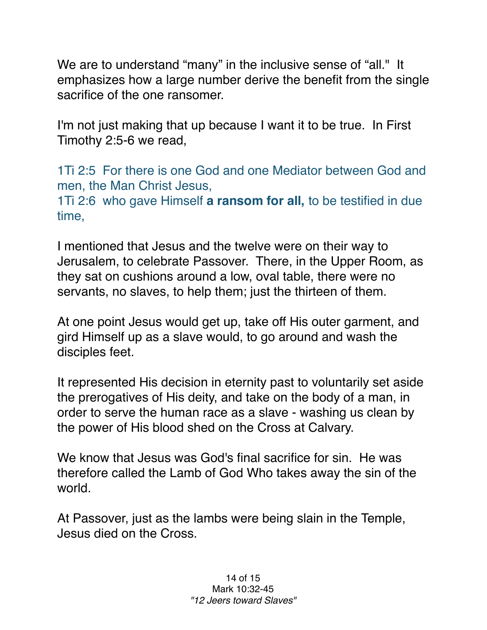We are to understand "many" in the inclusive sense of "all." It emphasizes how a large number derive the benefit from the single sacrifice of the one ransomer.

I'm not just making that up because I want it to be true. In First Timothy 2:5-6 we read,

1Ti 2:5 For there is one God and one Mediator between God and men, the Man Christ Jesus,

1Ti 2:6 who gave Himself **a ransom for all,** to be testified in due time,

I mentioned that Jesus and the twelve were on their way to Jerusalem, to celebrate Passover. There, in the Upper Room, as they sat on cushions around a low, oval table, there were no servants, no slaves, to help them; just the thirteen of them.

At one point Jesus would get up, take off His outer garment, and gird Himself up as a slave would, to go around and wash the disciples feet.

It represented His decision in eternity past to voluntarily set aside the prerogatives of His deity, and take on the body of a man, in order to serve the human race as a slave - washing us clean by the power of His blood shed on the Cross at Calvary.

We know that Jesus was God's final sacrifice for sin. He was therefore called the Lamb of God Who takes away the sin of the world.

At Passover, just as the lambs were being slain in the Temple, Jesus died on the Cross.